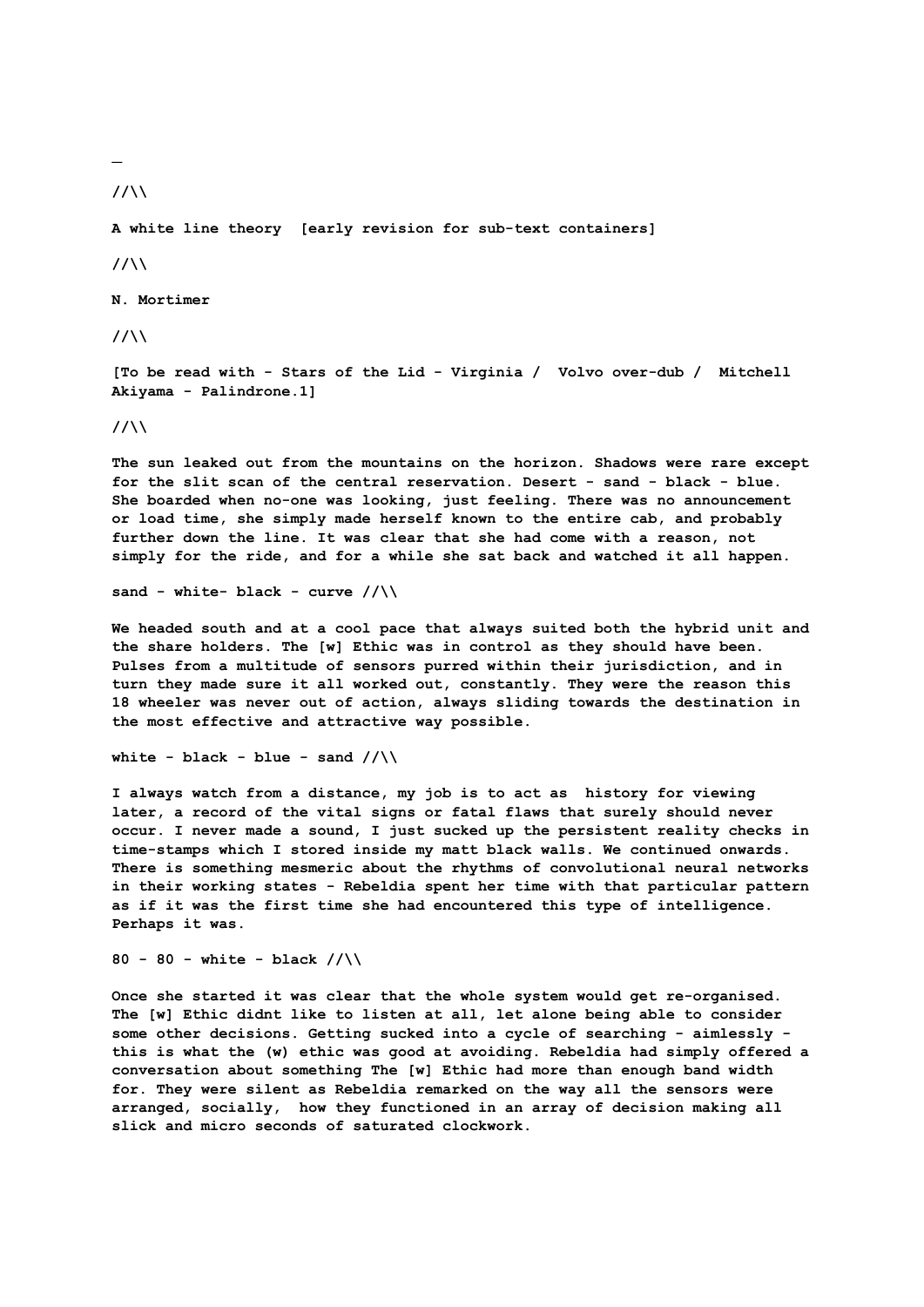**\_**

**//\\**

**A white line theory [early revision for sub-text containers]**

**//\\**

**N. Mortimer** 

**//\\**

**[To be read with - Stars of the Lid - Virginia / Volvo over-dub / Mitchell Akiyama - Palindrone.1]**

**//\\**

**The sun leaked out from the mountains on the horizon. Shadows were rare except for the slit scan of the central reservation. Desert - sand - black - blue. She boarded when no-one was looking, just feeling. There was no announcement or load time, she simply made herself known to the entire cab, and probably further down the line. It was clear that she had come with a reason, not simply for the ride, and for a while she sat back and watched it all happen.**

**sand - white- black - curve //\\** 

**We headed south and at a cool pace that always suited both the hybrid unit and the share holders. The [w] Ethic was in control as they should have been. Pulses from a multitude of sensors purred within their jurisdiction, and in turn they made sure it all worked out, constantly. They were the reason this 18 wheeler was never out of action, always sliding towards the destination in the most effective and attractive way possible.** 

```
white - black - blue - sand //\
```
**I always watch from a distance, my job is to act as history for viewing later, a record of the vital signs or fatal flaws that surely should never occur. I never made a sound, I just sucked up the persistent reality checks in time-stamps which I stored inside my matt black walls. We continued onwards. There is something mesmeric about the rhythms of convolutional neural networks in their working states - Rebeldia spent her time with that particular pattern as if it was the first time she had encountered this type of intelligence. Perhaps it was.**

**80 - 80 - white - black //\\** 

**Once she started it was clear that the whole system would get re-organised. The [w] Ethic didnt like to listen at all, let alone being able to consider some other decisions. Getting sucked into a cycle of searching - aimlessly this is what the (w) ethic was good at avoiding. Rebeldia had simply offered a conversation about something The [w] Ethic had more than enough band width for. They were silent as Rebeldia remarked on the way all the sensors were arranged, socially, how they functioned in an array of decision making all slick and micro seconds of saturated clockwork.**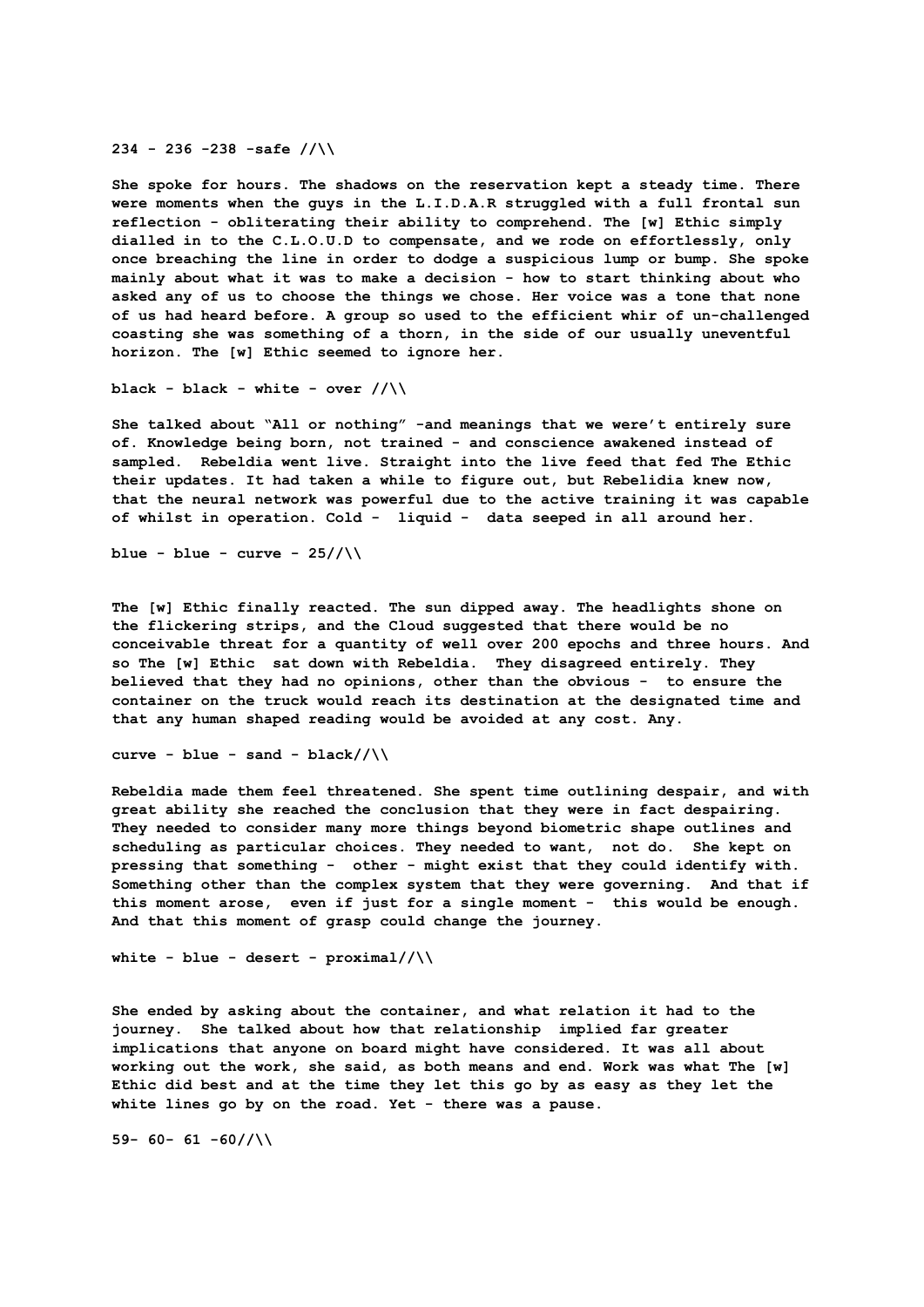**234 - 236 -238 -safe //\\** 

**She spoke for hours. The shadows on the reservation kept a steady time. There were moments when the guys in the L.I.D.A.R struggled with a full frontal sun reflection - obliterating their ability to comprehend. The [w] Ethic simply dialled in to the C.L.O.U.D to compensate, and we rode on effortlessly, only once breaching the line in order to dodge a suspicious lump or bump. She spoke mainly about what it was to make a decision - how to start thinking about who asked any of us to choose the things we chose. Her voice was a tone that none of us had heard before. A group so used to the efficient whir of un-challenged coasting she was something of a thorn, in the side of our usually uneventful horizon. The [w] Ethic seemed to ignore her.** 

 $black - black - white - over // \$ 

**She talked about "All or nothing" -and meanings that we were't entirely sure of. Knowledge being born, not trained - and conscience awakened instead of sampled. Rebeldia went live. Straight into the live feed that fed The Ethic their updates. It had taken a while to figure out, but Rebelidia knew now, that the neural network was powerful due to the active training it was capable of whilst in operation. Cold - liquid - data seeped in all around her.** 

blue - blue - curve -  $25//\iota$ 

**The [w] Ethic finally reacted. The sun dipped away. The headlights shone on the flickering strips, and the Cloud suggested that there would be no conceivable threat for a quantity of well over 200 epochs and three hours. And so The [w] Ethic sat down with Rebeldia. They disagreed entirely. They believed that they had no opinions, other than the obvious - to ensure the container on the truck would reach its destination at the designated time and that any human shaped reading would be avoided at any cost. Any.**

**curve - blue - sand - black//\\**

**Rebeldia made them feel threatened. She spent time outlining despair, and with great ability she reached the conclusion that they were in fact despairing. They needed to consider many more things beyond biometric shape outlines and scheduling as particular choices. They needed to want, not do. She kept on pressing that something - other - might exist that they could identify with. Something other than the complex system that they were governing. And that if this moment arose, even if just for a single moment - this would be enough. And that this moment of grasp could change the journey.**

```
white - blue - desert - proximal//\\
```
**She ended by asking about the container, and what relation it had to the journey. She talked about how that relationship implied far greater implications that anyone on board might have considered. It was all about working out the work, she said, as both means and end. Work was what The [w] Ethic did best and at the time they let this go by as easy as they let the white lines go by on the road. Yet - there was a pause.** 

**59- 60- 61 -60//\\**